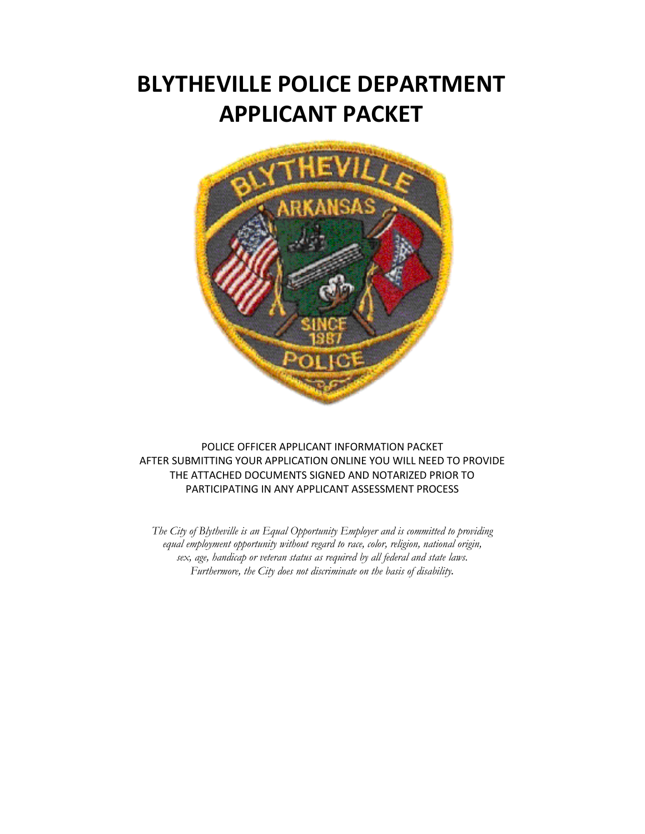# **BLYTHEVILLE POLICE DEPARTMENT APPLICANT PACKET**



POLICE OFFICER APPLICANT INFORMATION PACKET AFTER SUBMITTING YOUR APPLICATION ONLINE YOU WILL NEED TO PROVIDE THE ATTACHED DOCUMENTS SIGNED AND NOTARIZED PRIOR TO PARTICIPATING IN ANY APPLICANT ASSESSMENT PROCESS

*The City of Blytheville is an Equal Opportunity Employer and is committed to providing equal employment opportunity without regard to race, color, religion, national origin, sex, age, handicap or veteran status as required by all federal and state laws. Furthermore, the City does not discriminate on the basis of disability.*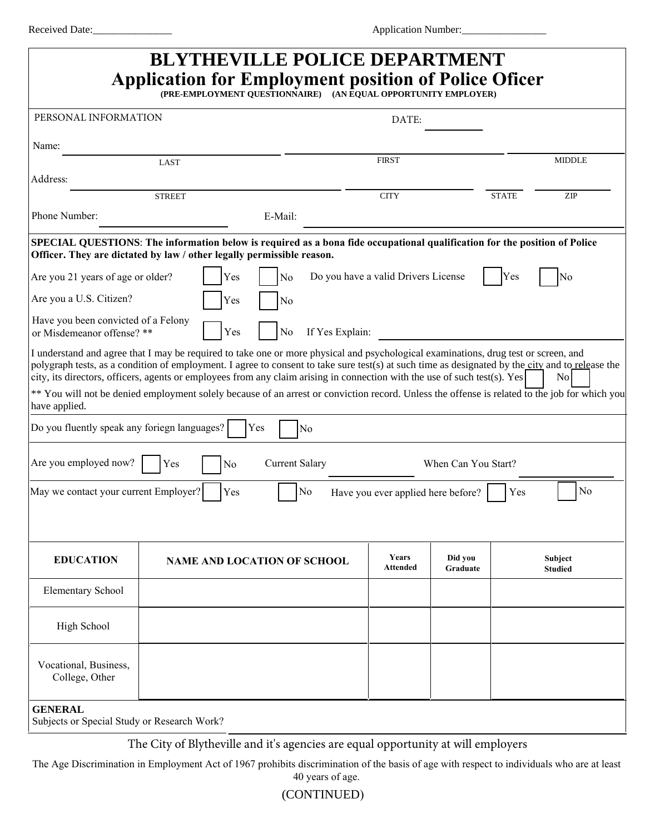| <b>BLYTHEVILLE POLICE DEPARTMENT</b><br><b>Application for Employment position of Police Oficer</b><br>(PRE-EMPLOYMENT QUESTIONNAIRE) (AN EQUAL OPPORTUNITY EMPLOYER)                                                                                                                                                                                                                                                |                                    |                       |                 |                                     |                     |              |                           |
|----------------------------------------------------------------------------------------------------------------------------------------------------------------------------------------------------------------------------------------------------------------------------------------------------------------------------------------------------------------------------------------------------------------------|------------------------------------|-----------------------|-----------------|-------------------------------------|---------------------|--------------|---------------------------|
| PERSONAL INFORMATION                                                                                                                                                                                                                                                                                                                                                                                                 |                                    |                       |                 | DATE:                               |                     |              |                           |
| Name:                                                                                                                                                                                                                                                                                                                                                                                                                |                                    |                       |                 |                                     |                     |              |                           |
|                                                                                                                                                                                                                                                                                                                                                                                                                      | <b>LAST</b>                        |                       |                 | <b>FIRST</b>                        |                     |              | <b>MIDDLE</b>             |
| Address:                                                                                                                                                                                                                                                                                                                                                                                                             | <b>STREET</b>                      |                       |                 | <b>CITY</b>                         |                     | <b>STATE</b> | ZIP                       |
| Phone Number:                                                                                                                                                                                                                                                                                                                                                                                                        |                                    | E-Mail:               |                 |                                     |                     |              |                           |
| SPECIAL QUESTIONS: The information below is required as a bona fide occupational qualification for the position of Police<br>Officer. They are dictated by law / other legally permissible reason.                                                                                                                                                                                                                   |                                    |                       |                 |                                     |                     |              |                           |
| Are you 21 years of age or older?                                                                                                                                                                                                                                                                                                                                                                                    | Yes                                | N <sub>0</sub>        |                 | Do you have a valid Drivers License |                     | Yes          | No                        |
| Are you a U.S. Citizen?                                                                                                                                                                                                                                                                                                                                                                                              | Yes                                | No                    |                 |                                     |                     |              |                           |
| Have you been convicted of a Felony<br>or Misdemeanor offense? **                                                                                                                                                                                                                                                                                                                                                    | Yes                                | No                    | If Yes Explain: |                                     |                     |              |                           |
| I understand and agree that I may be required to take one or more physical and psychological examinations, drug test or screen, and<br>polygraph tests, as a condition of employment. I agree to consent to take sure test(s) at such time as designated by the city and to release the<br>city, its directors, officers, agents or employees from any claim arising in connection with the use of such test(s). Yes |                                    |                       |                 |                                     |                     |              | N <sub>0</sub>            |
| ** You will not be denied employment solely because of an arrest or conviction record. Unless the offense is related to the job for which you<br>have applied.                                                                                                                                                                                                                                                       |                                    |                       |                 |                                     |                     |              |                           |
| Do you fluently speak any foriegn languages?                                                                                                                                                                                                                                                                                                                                                                         |                                    | Yes<br>N <sub>0</sub> |                 |                                     |                     |              |                           |
| Are you employed now?                                                                                                                                                                                                                                                                                                                                                                                                | Yes<br>No                          | <b>Current Salary</b> |                 |                                     | When Can You Start? |              |                           |
| May we contact your current Employer?                                                                                                                                                                                                                                                                                                                                                                                | Yes                                | N <sub>0</sub>        |                 | Have you ever applied here before?  |                     | Yes          | No                        |
| <b>EDUCATION</b>                                                                                                                                                                                                                                                                                                                                                                                                     | <b>NAME AND LOCATION OF SCHOOL</b> |                       |                 | Years<br><b>Attended</b>            | Did you<br>Graduate |              | Subject<br><b>Studied</b> |
| <b>Elementary School</b>                                                                                                                                                                                                                                                                                                                                                                                             |                                    |                       |                 |                                     |                     |              |                           |
| High School                                                                                                                                                                                                                                                                                                                                                                                                          |                                    |                       |                 |                                     |                     |              |                           |
| Vocational, Business,<br>College, Other                                                                                                                                                                                                                                                                                                                                                                              |                                    |                       |                 |                                     |                     |              |                           |
| <b>GENERAL</b><br>Subjects or Special Study or Research Work?                                                                                                                                                                                                                                                                                                                                                        |                                    |                       |                 |                                     |                     |              |                           |

The City of Blytheville and it's agencies are equal opportunity at will employers

The Age Discrimination in Employment Act of 1967 prohibits discrimination of the basis of age with respect to individuals who are at least 40 years of age.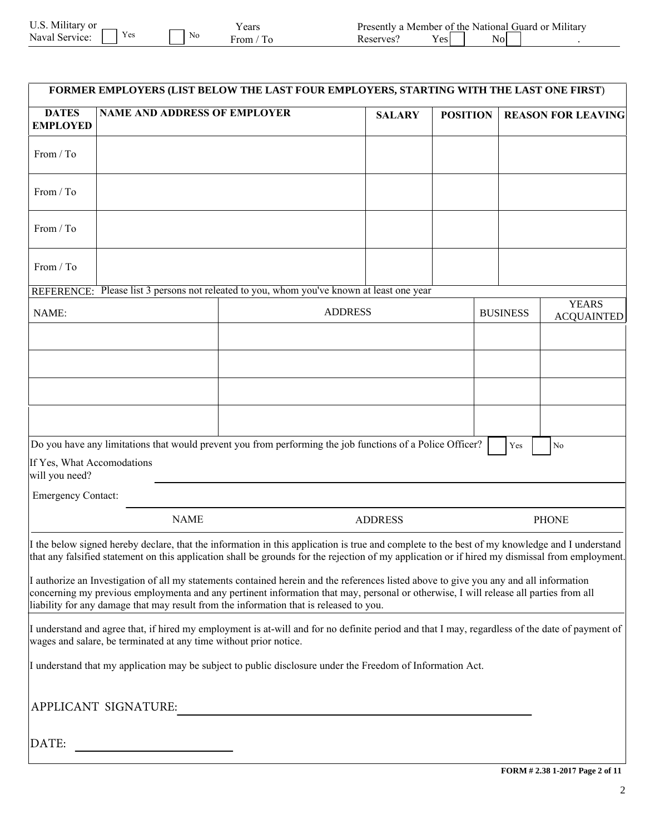|                                              |                                                                   | FORMER EMPLOYERS (LIST BELOW THE LAST FOUR EMPLOYERS, STARTING WITH THE LAST ONE FIRST)                                                                                                                                                                                                                                                                                   |                |                 |                                                      |                           |
|----------------------------------------------|-------------------------------------------------------------------|---------------------------------------------------------------------------------------------------------------------------------------------------------------------------------------------------------------------------------------------------------------------------------------------------------------------------------------------------------------------------|----------------|-----------------|------------------------------------------------------|---------------------------|
| <b>DATES</b><br><b>EMPLOYED</b>              | <b>NAME AND ADDRESS OF EMPLOYER</b>                               |                                                                                                                                                                                                                                                                                                                                                                           | <b>SALARY</b>  | <b>POSITION</b> |                                                      | <b>REASON FOR LEAVING</b> |
| From / To                                    |                                                                   |                                                                                                                                                                                                                                                                                                                                                                           |                |                 |                                                      |                           |
| From / To                                    |                                                                   |                                                                                                                                                                                                                                                                                                                                                                           |                |                 |                                                      |                           |
| From / To                                    |                                                                   |                                                                                                                                                                                                                                                                                                                                                                           |                |                 |                                                      |                           |
| From / To                                    |                                                                   |                                                                                                                                                                                                                                                                                                                                                                           |                |                 |                                                      |                           |
| <b>REFERENCE:</b>                            |                                                                   | Please list 3 persons not releated to you, whom you've known at least one year                                                                                                                                                                                                                                                                                            |                |                 |                                                      |                           |
| NAME:                                        |                                                                   | <b>ADDRESS</b>                                                                                                                                                                                                                                                                                                                                                            |                |                 | <b>YEARS</b><br><b>BUSINESS</b><br><b>ACQUAINTED</b> |                           |
|                                              |                                                                   |                                                                                                                                                                                                                                                                                                                                                                           |                |                 |                                                      |                           |
|                                              |                                                                   |                                                                                                                                                                                                                                                                                                                                                                           |                |                 |                                                      |                           |
|                                              |                                                                   |                                                                                                                                                                                                                                                                                                                                                                           |                |                 |                                                      |                           |
|                                              |                                                                   | Do you have any limitations that would prevent you from performing the job functions of a Police Officer?                                                                                                                                                                                                                                                                 |                |                 | Yes                                                  | $\rm No$                  |
| If Yes, What Accomodations<br>will you need? |                                                                   |                                                                                                                                                                                                                                                                                                                                                                           |                |                 |                                                      |                           |
| <b>Emergency Contact:</b>                    |                                                                   |                                                                                                                                                                                                                                                                                                                                                                           |                |                 |                                                      |                           |
|                                              | <b>NAME</b>                                                       |                                                                                                                                                                                                                                                                                                                                                                           | <b>ADDRESS</b> |                 |                                                      | <b>PHONE</b>              |
|                                              |                                                                   | I the below signed hereby declare, that the information in this application is true and complete to the best of my knowledge and I understand<br>that any falsified statement on this application shall be grounds for the rejection of my application or if hired my dismissal from employment.                                                                          |                |                 |                                                      |                           |
|                                              |                                                                   | I authorize an Investigation of all my statements contained herein and the references listed above to give you any and all information<br>concerning my previous employmenta and any pertinent information that may, personal or otherwise, I will release all parties from all<br>liability for any damage that may result from the information that is released to you. |                |                 |                                                      |                           |
|                                              | wages and salare, be terminated at any time without prior notice. | I understand and agree that, if hired my employment is at-will and for no definite period and that I may, regardless of the date of payment of                                                                                                                                                                                                                            |                |                 |                                                      |                           |
|                                              |                                                                   | I understand that my application may be subject to public disclosure under the Freedom of Information Act.                                                                                                                                                                                                                                                                |                |                 |                                                      |                           |
|                                              | APPLICANT SIGNATURE:                                              |                                                                                                                                                                                                                                                                                                                                                                           |                |                 |                                                      |                           |
| DATE:                                        |                                                                   |                                                                                                                                                                                                                                                                                                                                                                           |                |                 |                                                      |                           |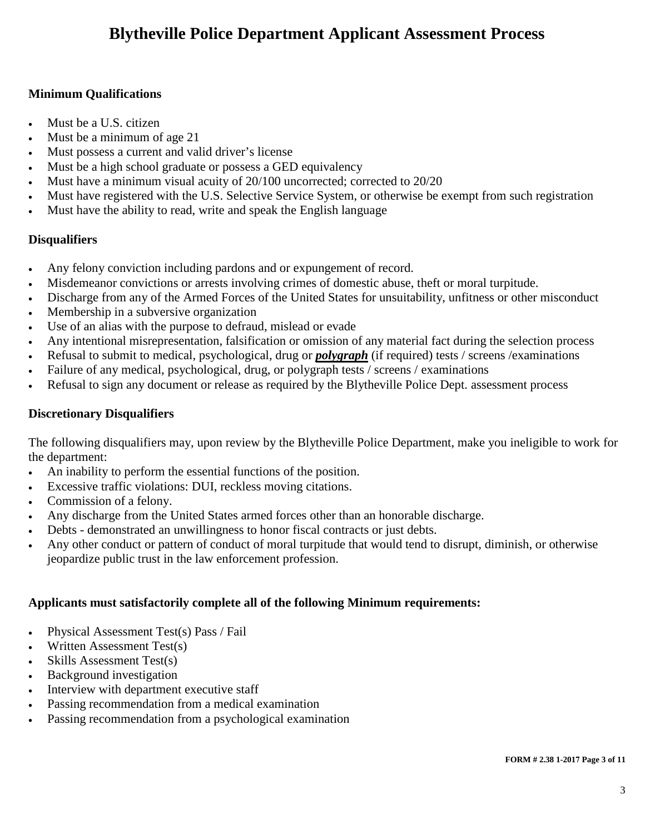# **Blytheville Police Department Applicant Assessment Process**

#### **Minimum Qualifications**

- Must be a U.S. citizen
- Must be a minimum of age 21
- Must possess a current and valid driver's license
- Must be a high school graduate or possess a GED equivalency
- Must have a minimum visual acuity of 20/100 uncorrected; corrected to 20/20
- Must have registered with the U.S. Selective Service System, or otherwise be exempt from such registration
- Must have the ability to read, write and speak the English language

#### **Disqualifiers**

- Any felony conviction including pardons and or expungement of record.
- Misdemeanor convictions or arrests involving crimes of domestic abuse, theft or moral turpitude.
- Discharge from any of the Armed Forces of the United States for unsuitability, unfitness or other misconduct
- Membership in a subversive organization
- Use of an alias with the purpose to defraud, mislead or evade
- Any intentional misrepresentation, falsification or omission of any material fact during the selection process
- Refusal to submit to medical, psychological, drug or *polygraph* (if required) tests / screens /examinations
- Failure of any medical, psychological, drug, or polygraph tests / screens / examinations
- Refusal to sign any document or release as required by the Blytheville Police Dept. assessment process

#### **Discretionary Disqualifiers**

The following disqualifiers may, upon review by the Blytheville Police Department, make you ineligible to work for the department:

- An inability to perform the essential functions of the position.
- Excessive traffic violations: DUI, reckless moving citations.
- Commission of a felony.
- Any discharge from the United States armed forces other than an honorable discharge.
- Debts demonstrated an unwillingness to honor fiscal contracts or just debts.
- Any other conduct or pattern of conduct of moral turpitude that would tend to disrupt, diminish, or otherwise jeopardize public trust in the law enforcement profession.

#### **Applicants must satisfactorily complete all of the following Minimum requirements:**

- Physical Assessment Test(s) Pass / Fail
- Written Assessment Test(s)
- Skills Assessment Test(s)
- Background investigation
- Interview with department executive staff
- Passing recommendation from a medical examination
- Passing recommendation from a psychological examination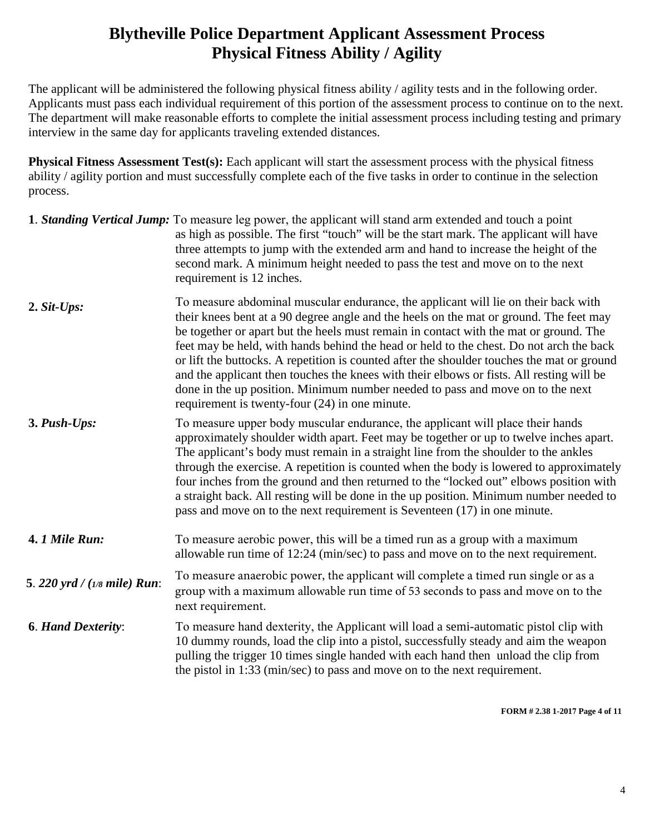## **Blytheville Police Department Applicant Assessment Process Physical Fitness Ability / Agility**

The applicant will be administered the following physical fitness ability / agility tests and in the following order. Applicants must pass each individual requirement of this portion of the assessment process to continue on to the next. The department will make reasonable efforts to complete the initial assessment process including testing and primary interview in the same day for applicants traveling extended distances.

**Physical Fitness Assessment Test(s):** Each applicant will start the assessment process with the physical fitness ability / agility portion and must successfully complete each of the five tasks in order to continue in the selection process.

|                                | 1. Standing Vertical Jump: To measure leg power, the applicant will stand arm extended and touch a point<br>as high as possible. The first "touch" will be the start mark. The applicant will have<br>three attempts to jump with the extended arm and hand to increase the height of the<br>second mark. A minimum height needed to pass the test and move on to the next<br>requirement is 12 inches.                                                                                                                                                                                                                                                                                          |
|--------------------------------|--------------------------------------------------------------------------------------------------------------------------------------------------------------------------------------------------------------------------------------------------------------------------------------------------------------------------------------------------------------------------------------------------------------------------------------------------------------------------------------------------------------------------------------------------------------------------------------------------------------------------------------------------------------------------------------------------|
| $2. Sit-Ups:$                  | To measure abdominal muscular endurance, the applicant will lie on their back with<br>their knees bent at a 90 degree angle and the heels on the mat or ground. The feet may<br>be together or apart but the heels must remain in contact with the mat or ground. The<br>feet may be held, with hands behind the head or held to the chest. Do not arch the back<br>or lift the buttocks. A repetition is counted after the shoulder touches the mat or ground<br>and the applicant then touches the knees with their elbows or fists. All resting will be<br>done in the up position. Minimum number needed to pass and move on to the next<br>requirement is twenty-four $(24)$ in one minute. |
| $3. Push-Ups:$                 | To measure upper body muscular endurance, the applicant will place their hands<br>approximately shoulder width apart. Feet may be together or up to twelve inches apart.<br>The applicant's body must remain in a straight line from the shoulder to the ankles<br>through the exercise. A repetition is counted when the body is lowered to approximately<br>four inches from the ground and then returned to the "locked out" elbows position with<br>a straight back. All resting will be done in the up position. Minimum number needed to<br>pass and move on to the next requirement is Seventeen (17) in one minute.                                                                      |
| 4. 1 Mile Run:                 | To measure aerobic power, this will be a timed run as a group with a maximum<br>allowable run time of 12:24 (min/sec) to pass and move on to the next requirement.                                                                                                                                                                                                                                                                                                                                                                                                                                                                                                                               |
| 5. 220 yrd / $(1/8$ mile) Run: | To measure anaerobic power, the applicant will complete a timed run single or as a<br>group with a maximum allowable run time of 53 seconds to pass and move on to the<br>next requirement.                                                                                                                                                                                                                                                                                                                                                                                                                                                                                                      |
| <b>6. Hand Dexterity:</b>      | To measure hand dexterity, the Applicant will load a semi-automatic pistol clip with<br>10 dummy rounds, load the clip into a pistol, successfully steady and aim the weapon<br>pulling the trigger 10 times single handed with each hand then unload the clip from<br>the pistol in 1:33 (min/sec) to pass and move on to the next requirement.                                                                                                                                                                                                                                                                                                                                                 |

**FORM # 2.38 1-2017 Page 4 of 11**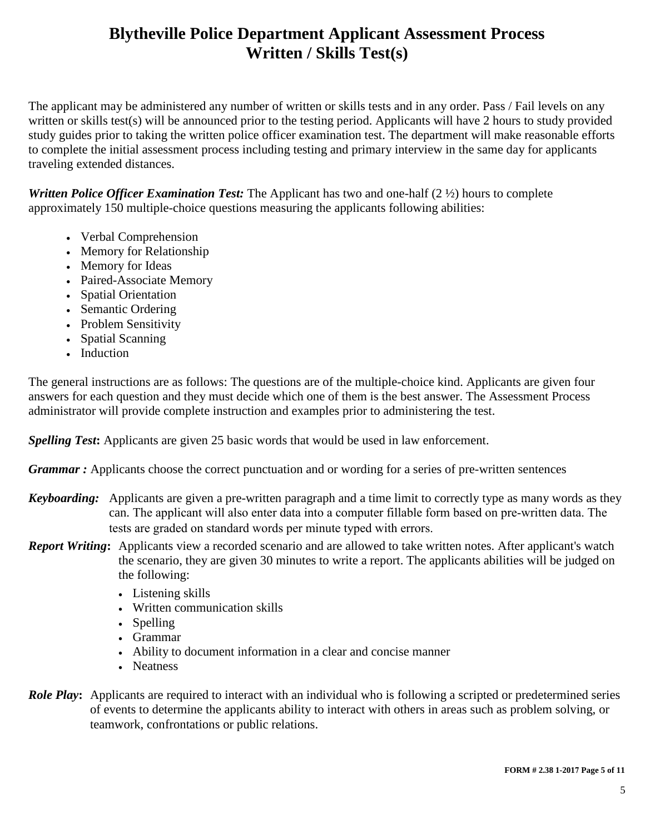# **Blytheville Police Department Applicant Assessment Process Written / Skills Test(s)**

The applicant may be administered any number of written or skills tests and in any order. Pass / Fail levels on any written or skills test(s) will be announced prior to the testing period. Applicants will have 2 hours to study provided study guides prior to taking the written police officer examination test. The department will make reasonable efforts to complete the initial assessment process including testing and primary interview in the same day for applicants traveling extended distances.

*Written Police Officer Examination Test:* The Applicant has two and one-half (2 <sup>1</sup>/<sub>2</sub>) hours to complete approximately 150 multiple-choice questions measuring the applicants following abilities:

- Verbal Comprehension
- Memory for Relationship
- Memory for Ideas
- Paired-Associate Memory
- Spatial Orientation
- Semantic Ordering
- Problem Sensitivity
- Spatial Scanning
- Induction

The general instructions are as follows: The questions are of the multiple-choice kind. Applicants are given four answers for each question and they must decide which one of them is the best answer. The Assessment Process administrator will provide complete instruction and examples prior to administering the test.

**Spelling Test:** Applicants are given 25 basic words that would be used in law enforcement.

*Grammar* : Applicants choose the correct punctuation and or wording for a series of pre-written sentences

- *Keyboarding:*Applicants are given a pre-written paragraph and a time limit to correctly type as many words as they can. The applicant will also enter data into a computer fillable form based on pre-written data. The tests are graded on standard words per minute typed with errors.
- *Report Writing***:** Applicants view a recorded scenario and are allowed to take written notes. After applicant's watch the scenario, they are given 30 minutes to write a report. The applicants abilities will be judged on the following:
	- Listening skills
	- Written communication skills
	- Spelling
	- Grammar
	- Ability to document information in a clear and concise manner
	- Neatness
- *Role Play***:** Applicants are required to interact with an individual who is following a scripted or predetermined series of events to determine the applicants ability to interact with others in areas such as problem solving, or teamwork, confrontations or public relations.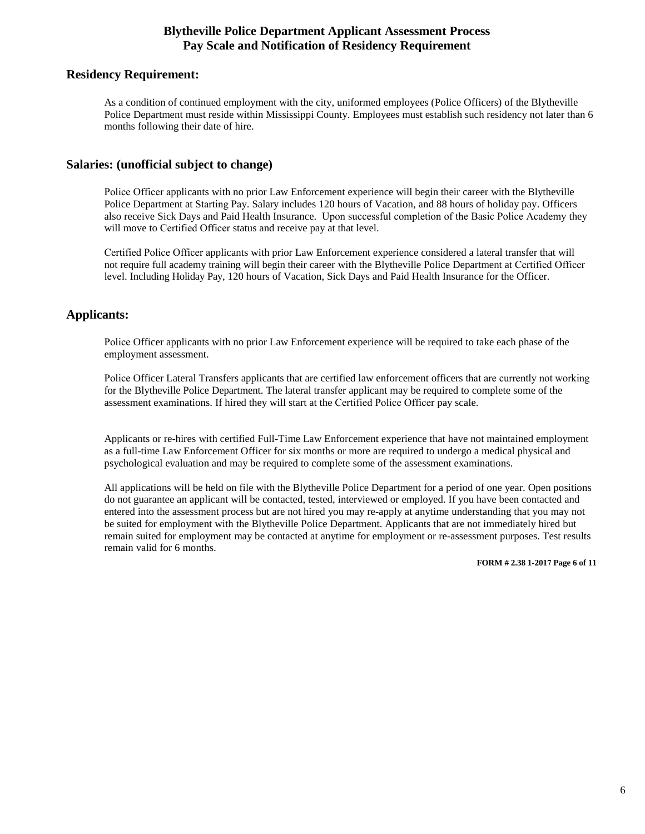#### **Blytheville Police Department Applicant Assessment Process Pay Scale and Notification of Residency Requirement**

#### **Residency Requirement:**

As a condition of continued employment with the city, uniformed employees (Police Officers) of the Blytheville Police Department must reside within Mississippi County. Employees must establish such residency not later than 6 months following their date of hire.

#### **Salaries: (unofficial subject to change)**

Police Officer applicants with no prior Law Enforcement experience will begin their career with the Blytheville Police Department at Starting Pay. Salary includes 120 hours of Vacation, and 88 hours of holiday pay. Officers also receive Sick Days and Paid Health Insurance. Upon successful completion of the Basic Police Academy they will move to Certified Officer status and receive pay at that level.

Certified Police Officer applicants with prior Law Enforcement experience considered a lateral transfer that will not require full academy training will begin their career with the Blytheville Police Department at Certified Officer level. Including Holiday Pay, 120 hours of Vacation, Sick Days and Paid Health Insurance for the Officer.

#### **Applicants:**

Police Officer applicants with no prior Law Enforcement experience will be required to take each phase of the employment assessment.

Police Officer Lateral Transfers applicants that are certified law enforcement officers that are currently not working for the Blytheville Police Department. The lateral transfer applicant may be required to complete some of the assessment examinations. If hired they will start at the Certified Police Officer pay scale.

Applicants or re-hires with certified Full-Time Law Enforcement experience that have not maintained employment as a full-time Law Enforcement Officer for six months or more are required to undergo a medical physical and psychological evaluation and may be required to complete some of the assessment examinations.

All applications will be held on file with the Blytheville Police Department for a period of one year. Open positions do not guarantee an applicant will be contacted, tested, interviewed or employed. If you have been contacted and entered into the assessment process but are not hired you may re-apply at anytime understanding that you may not be suited for employment with the Blytheville Police Department. Applicants that are not immediately hired but remain suited for employment may be contacted at anytime for employment or re-assessment purposes. Test results remain valid for 6 months.

**FORM # 2.38 1-2017 Page 6 of 11**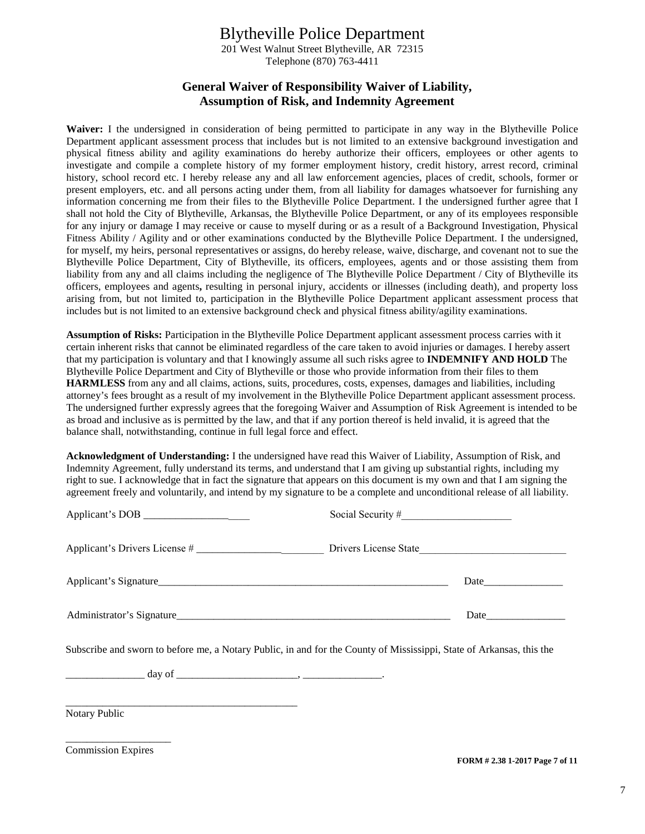### Blytheville Police Department

201 West Walnut Street Blytheville, AR 72315 Telephone (870) 763-4411

#### **General Waiver of Responsibility Waiver of Liability, Assumption of Risk, and Indemnity Agreement**

**Waiver:** I the undersigned in consideration of being permitted to participate in any way in the Blytheville Police Department applicant assessment process that includes but is not limited to an extensive background investigation and physical fitness ability and agility examinations do hereby authorize their officers, employees or other agents to investigate and compile a complete history of my former employment history, credit history, arrest record, criminal history, school record etc. I hereby release any and all law enforcement agencies, places of credit, schools, former or present employers, etc. and all persons acting under them, from all liability for damages whatsoever for furnishing any information concerning me from their files to the Blytheville Police Department. I the undersigned further agree that I shall not hold the City of Blytheville, Arkansas, the Blytheville Police Department, or any of its employees responsible for any injury or damage I may receive or cause to myself during or as a result of a Background Investigation, Physical Fitness Ability / Agility and or other examinations conducted by the Blytheville Police Department. I the undersigned, for myself, my heirs, personal representatives or assigns, do hereby release, waive, discharge, and covenant not to sue the Blytheville Police Department, City of Blytheville, its officers, employees, agents and or those assisting them from liability from any and all claims including the negligence of The Blytheville Police Department / City of Blytheville its officers, employees and agents**,** resulting in personal injury, accidents or illnesses (including death), and property loss arising from, but not limited to, participation in the Blytheville Police Department applicant assessment process that includes but is not limited to an extensive background check and physical fitness ability/agility examinations.

**Assumption of Risks:** Participation in the Blytheville Police Department applicant assessment process carries with it certain inherent risks that cannot be eliminated regardless of the care taken to avoid injuries or damages. I hereby assert that my participation is voluntary and that I knowingly assume all such risks agree to **INDEMNIFY AND HOLD** The Blytheville Police Department and City of Blytheville or those who provide information from their files to them **HARMLESS** from any and all claims, actions, suits, procedures, costs, expenses, damages and liabilities, including attorney's fees brought as a result of my involvement in the Blytheville Police Department applicant assessment process. The undersigned further expressly agrees that the foregoing Waiver and Assumption of Risk Agreement is intended to be as broad and inclusive as is permitted by the law, and that if any portion thereof is held invalid, it is agreed that the balance shall, notwithstanding, continue in full legal force and effect.

**Acknowledgment of Understanding:** I the undersigned have read this Waiver of Liability, Assumption of Risk, and Indemnity Agreement, fully understand its terms, and understand that I am giving up substantial rights, including my right to sue. I acknowledge that in fact the signature that appears on this document is my own and that I am signing the agreement freely and voluntarily, and intend by my signature to be a complete and unconditional release of all liability.

| Applicant's DOB                                                                                                      |                                                                                                                                                                                                                               |
|----------------------------------------------------------------------------------------------------------------------|-------------------------------------------------------------------------------------------------------------------------------------------------------------------------------------------------------------------------------|
|                                                                                                                      |                                                                                                                                                                                                                               |
|                                                                                                                      |                                                                                                                                                                                                                               |
|                                                                                                                      | Date and the same state of the state of the state of the state of the state of the state of the state of the state of the state of the state of the state of the state of the state of the state of the state of the state of |
| Subscribe and sworn to before me, a Notary Public, in and for the County of Mississippi, State of Arkansas, this the |                                                                                                                                                                                                                               |
|                                                                                                                      |                                                                                                                                                                                                                               |
| Notary Public                                                                                                        |                                                                                                                                                                                                                               |

Commission Expires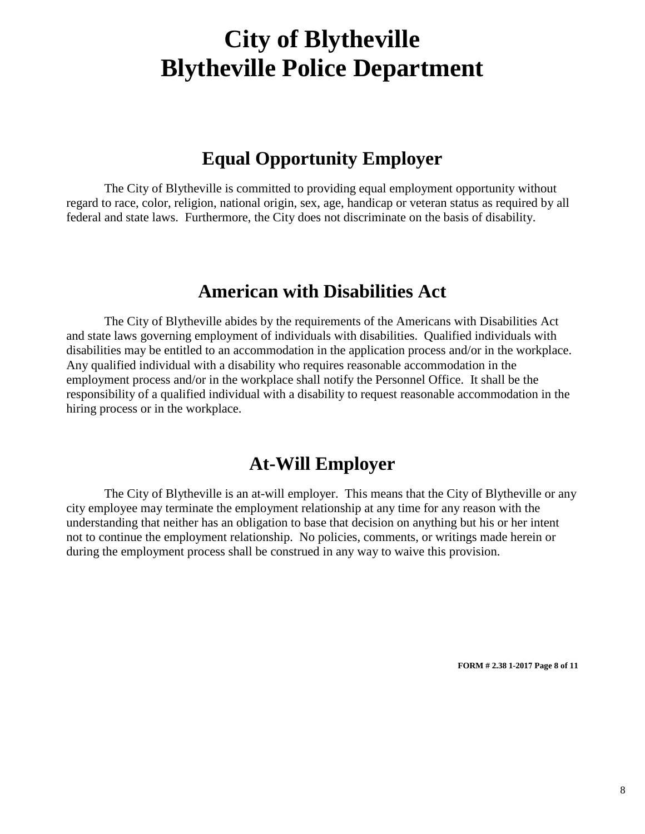# **City of Blytheville Blytheville Police Department**

# **Equal Opportunity Employer**

The City of Blytheville is committed to providing equal employment opportunity without regard to race, color, religion, national origin, sex, age, handicap or veteran status as required by all federal and state laws. Furthermore, the City does not discriminate on the basis of disability.

## **American with Disabilities Act**

The City of Blytheville abides by the requirements of the Americans with Disabilities Act and state laws governing employment of individuals with disabilities. Qualified individuals with disabilities may be entitled to an accommodation in the application process and/or in the workplace. Any qualified individual with a disability who requires reasonable accommodation in the employment process and/or in the workplace shall notify the Personnel Office. It shall be the responsibility of a qualified individual with a disability to request reasonable accommodation in the hiring process or in the workplace.

# **At-Will Employer**

The City of Blytheville is an at-will employer. This means that the City of Blytheville or any city employee may terminate the employment relationship at any time for any reason with the understanding that neither has an obligation to base that decision on anything but his or her intent not to continue the employment relationship. No policies, comments, or writings made herein or during the employment process shall be construed in any way to waive this provision.

**FORM # 2.38 1-2017 Page 8 of 11**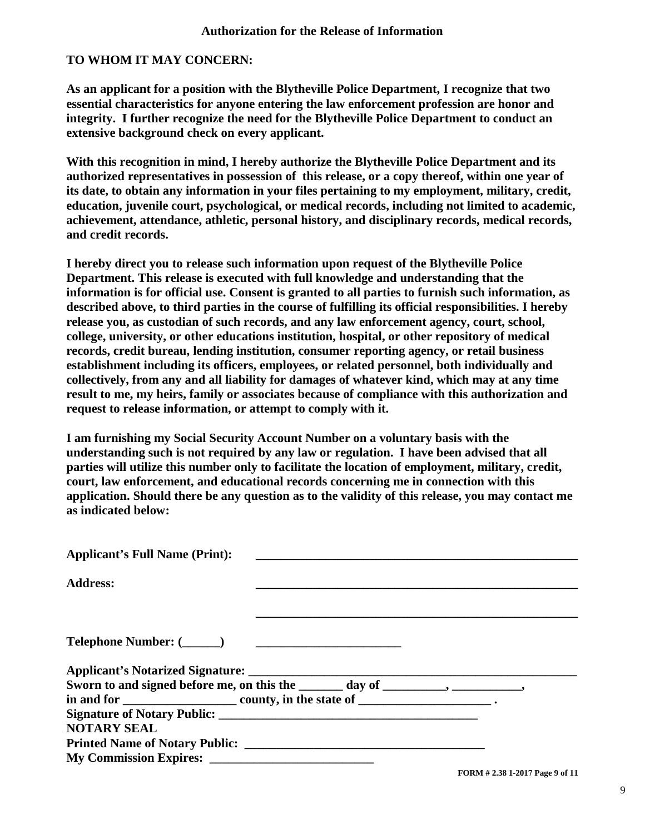#### **TO WHOM IT MAY CONCERN:**

**As an applicant for a position with the Blytheville Police Department, I recognize that two essential characteristics for anyone entering the law enforcement profession are honor and integrity. I further recognize the need for the Blytheville Police Department to conduct an extensive background check on every applicant.** 

**With this recognition in mind, I hereby authorize the Blytheville Police Department and its authorized representatives in possession of this release, or a copy thereof, within one year of its date, to obtain any information in your files pertaining to my employment, military, credit, education, juvenile court, psychological, or medical records, including not limited to academic, achievement, attendance, athletic, personal history, and disciplinary records, medical records, and credit records.** 

**I hereby direct you to release such information upon request of the Blytheville Police Department. This release is executed with full knowledge and understanding that the information is for official use. Consent is granted to all parties to furnish such information, as described above, to third parties in the course of fulfilling its official responsibilities. I hereby release you, as custodian of such records, and any law enforcement agency, court, school, college, university, or other educations institution, hospital, or other repository of medical records, credit bureau, lending institution, consumer reporting agency, or retail business establishment including its officers, employees, or related personnel, both individually and collectively, from any and all liability for damages of whatever kind, which may at any time result to me, my heirs, family or associates because of compliance with this authorization and request to release information, or attempt to comply with it.** 

**I am furnishing my Social Security Account Number on a voluntary basis with the understanding such is not required by any law or regulation. I have been advised that all parties will utilize this number only to facilitate the location of employment, military, credit, court, law enforcement, and educational records concerning me in connection with this application. Should there be any question as to the validity of this release, you may contact me as indicated below:**

| <b>Applicant's Full Name (Print):</b>                                        |  |
|------------------------------------------------------------------------------|--|
| <b>Address:</b>                                                              |  |
|                                                                              |  |
|                                                                              |  |
|                                                                              |  |
| Sworn to and signed before me, on this the ______ day of _______, _________, |  |
|                                                                              |  |
|                                                                              |  |
| <b>NOTARY SEAL</b>                                                           |  |
| <b>Printed Name of Notary Public:</b>                                        |  |
|                                                                              |  |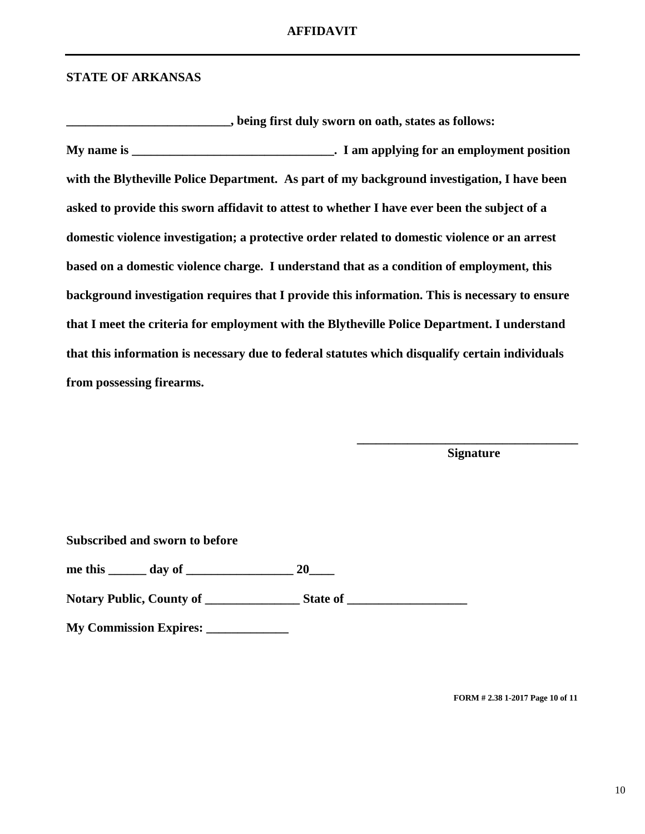#### **AFFIDAVIT**

#### **STATE OF ARKANSAS**

**\_\_\_\_\_\_\_\_\_\_\_\_\_\_\_\_\_\_\_\_\_\_\_\_\_\_, being first duly sworn on oath, states as follows: My name is \_\_\_\_\_\_\_\_\_\_\_\_\_\_\_\_\_\_\_\_\_\_\_\_\_\_\_\_\_\_\_\_. I am applying for an employment position with the Blytheville Police Department. As part of my background investigation, I have been asked to provide this sworn affidavit to attest to whether I have ever been the subject of a domestic violence investigation; a protective order related to domestic violence or an arrest based on a domestic violence charge. I understand that as a condition of employment, this background investigation requires that I provide this information. This is necessary to ensure that I meet the criteria for employment with the Blytheville Police Department. I understand that this information is necessary due to federal statutes which disqualify certain individuals from possessing firearms.** 

> **\_\_\_\_\_\_\_\_\_\_\_\_\_\_\_\_\_\_\_\_\_\_\_\_\_\_\_\_\_\_\_\_\_\_\_ Signature**

**Subscribed and sworn to before me this \_\_\_\_\_\_ day of \_\_\_\_\_\_\_\_\_\_\_\_\_\_\_\_\_ 20\_\_\_\_ Notary Public, County of \_\_\_\_\_\_\_\_\_\_\_\_\_\_\_ State of \_\_\_\_\_\_\_\_\_\_\_\_\_\_\_\_\_\_\_** 

**My Commission Expires:** 

**FORM # 2.38 1-2017 Page 10 of 11**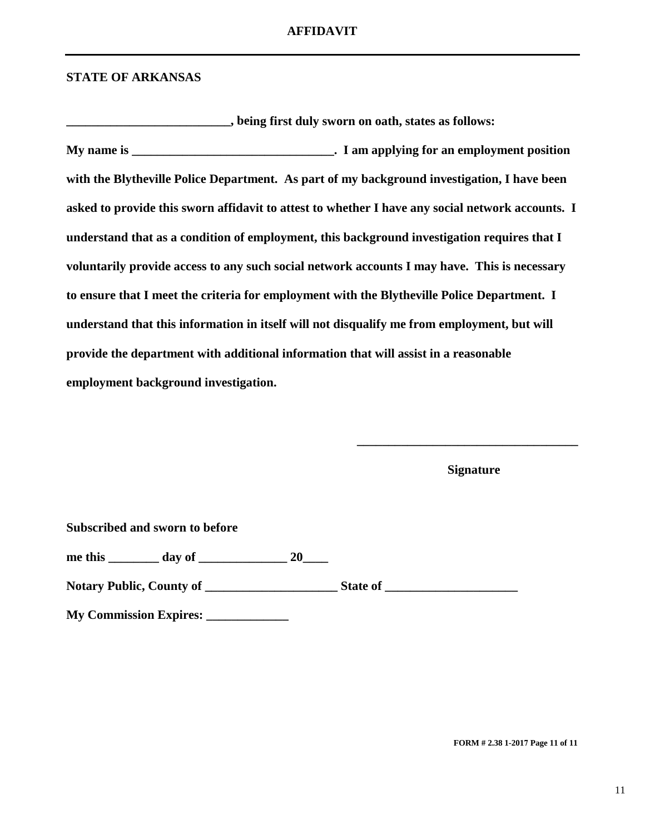#### **AFFIDAVIT**

#### **STATE OF ARKANSAS**

**EXECUTE:**  $\bullet$ , being first duly sworn on oath, states as follows: **My name is \_\_\_\_\_\_\_\_\_\_\_\_\_\_\_\_\_\_\_\_\_\_\_\_\_\_\_\_\_\_\_\_. I am applying for an employment position with the Blytheville Police Department. As part of my background investigation, I have been asked to provide this sworn affidavit to attest to whether I have any social network accounts. I understand that as a condition of employment, this background investigation requires that I voluntarily provide access to any such social network accounts I may have. This is necessary to ensure that I meet the criteria for employment with the Blytheville Police Department. I understand that this information in itself will not disqualify me from employment, but will provide the department with additional information that will assist in a reasonable employment background investigation.** 

**Signature**

**\_\_\_\_\_\_\_\_\_\_\_\_\_\_\_\_\_\_\_\_\_\_\_\_\_\_\_\_\_\_\_\_\_\_\_** 

**Subscribed and sworn to before**

**me this day of**  20

**Notary Public, County of \_\_\_\_\_\_\_\_\_\_\_\_\_\_\_\_\_\_\_\_\_ State of \_\_\_\_\_\_\_\_\_\_\_\_\_\_\_\_\_\_\_\_\_** 

**My Commission Expires: \_\_\_\_\_\_\_\_\_\_\_\_\_** 

**FORM # 2.38 1-2017 Page 11 of 11**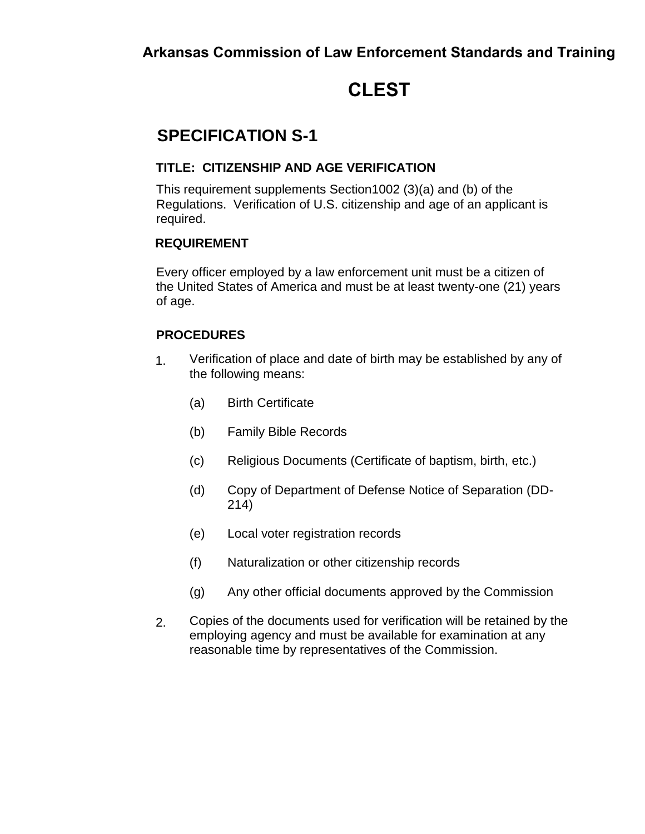# **CLEST**

# **SPECIFICATION S-1**

### **TITLE: CITIZENSHIP AND AGE VERIFICATION**

This requirement supplements Section1002 (3)(a) and (b) of the Regulations. Verification of U.S. citizenship and age of an applicant is required.

### **REQUIREMENT**

Every officer employed by a law enforcement unit must be a citizen of the United States of America and must be at least twenty-one (21) years of age.

### **PROCEDURES**

- 1. Verification of place and date of birth may be established by any of the following means:
	- (a) Birth Certificate
	- (b) Family Bible Records
	- (c) Religious Documents (Certificate of baptism, birth, etc.)
	- (d) Copy of Department of Defense Notice of Separation (DD-214)
	- (e) Local voter registration records
	- (f) Naturalization or other citizenship records
	- (g) Any other official documents approved by the Commission
- 2. Copies of the documents used for verification will be retained by the employing agency and must be available for examination at any reasonable time by representatives of the Commission.